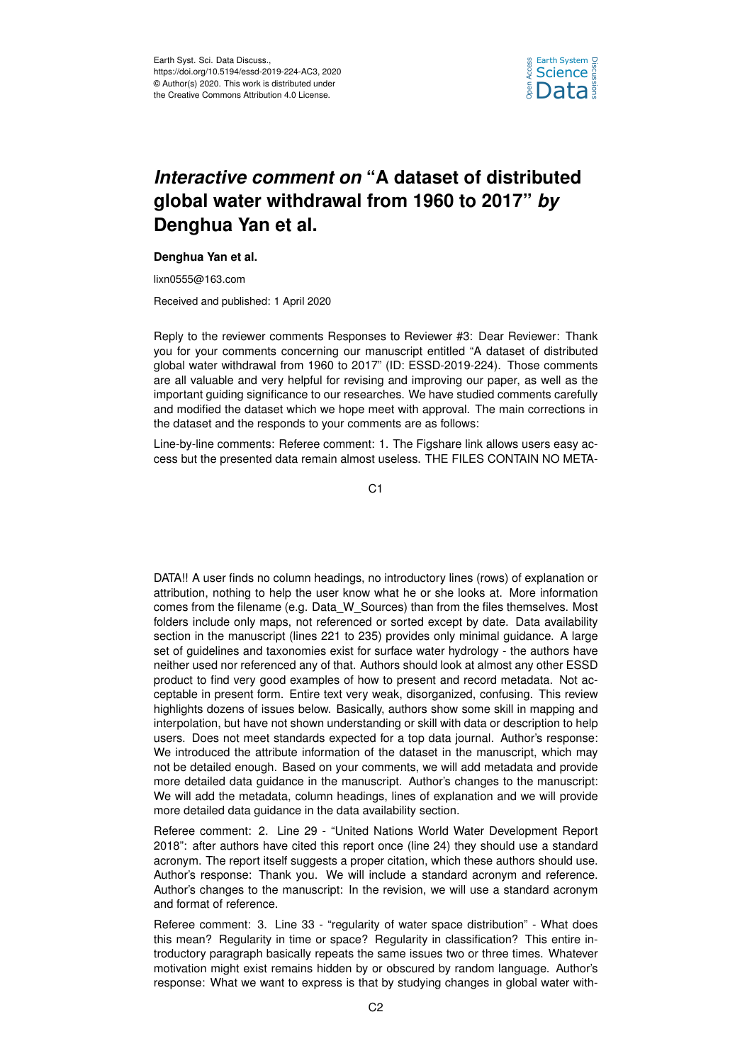

## *Interactive comment on* **"A dataset of distributed global water withdrawal from 1960 to 2017"** *by* **Denghua Yan et al.**

## **Denghua Yan et al.**

lixn0555@163.com

Received and published: 1 April 2020

Reply to the reviewer comments Responses to Reviewer #3: Dear Reviewer: Thank you for your comments concerning our manuscript entitled "A dataset of distributed global water withdrawal from 1960 to 2017" (ID: ESSD-2019-224). Those comments are all valuable and very helpful for revising and improving our paper, as well as the important guiding significance to our researches. We have studied comments carefully and modified the dataset which we hope meet with approval. The main corrections in the dataset and the responds to your comments are as follows:

Line-by-line comments: Referee comment: 1. The Figshare link allows users easy access but the presented data remain almost useless. THE FILES CONTAIN NO META-

C<sub>1</sub>

DATA!! A user finds no column headings, no introductory lines (rows) of explanation or attribution, nothing to help the user know what he or she looks at. More information comes from the filename (e.g. Data\_W\_Sources) than from the files themselves. Most folders include only maps, not referenced or sorted except by date. Data availability section in the manuscript (lines 221 to 235) provides only minimal guidance. A large set of guidelines and taxonomies exist for surface water hydrology - the authors have neither used nor referenced any of that. Authors should look at almost any other ESSD product to find very good examples of how to present and record metadata. Not acceptable in present form. Entire text very weak, disorganized, confusing. This review highlights dozens of issues below. Basically, authors show some skill in mapping and interpolation, but have not shown understanding or skill with data or description to help users. Does not meet standards expected for a top data journal. Author's response: We introduced the attribute information of the dataset in the manuscript, which may not be detailed enough. Based on your comments, we will add metadata and provide more detailed data guidance in the manuscript. Author's changes to the manuscript: We will add the metadata, column headings, lines of explanation and we will provide more detailed data guidance in the data availability section.

Referee comment: 2. Line 29 - "United Nations World Water Development Report 2018": after authors have cited this report once (line 24) they should use a standard acronym. The report itself suggests a proper citation, which these authors should use. Author's response: Thank you. We will include a standard acronym and reference. Author's changes to the manuscript: In the revision, we will use a standard acronym and format of reference.

Referee comment: 3. Line 33 - "regularity of water space distribution" - What does this mean? Regularity in time or space? Regularity in classification? This entire introductory paragraph basically repeats the same issues two or three times. Whatever motivation might exist remains hidden by or obscured by random language. Author's response: What we want to express is that by studying changes in global water with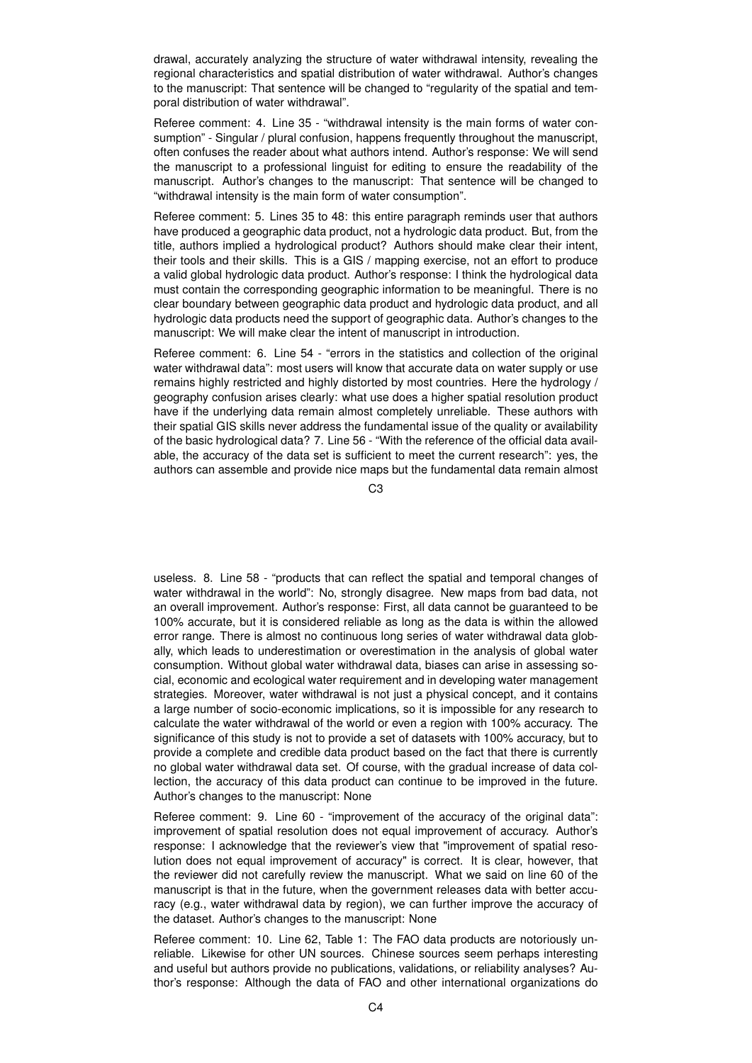drawal, accurately analyzing the structure of water withdrawal intensity, revealing the regional characteristics and spatial distribution of water withdrawal. Author's changes to the manuscript: That sentence will be changed to "regularity of the spatial and temporal distribution of water withdrawal".

Referee comment: 4. Line 35 - "withdrawal intensity is the main forms of water consumption" - Singular / plural confusion, happens frequently throughout the manuscript, often confuses the reader about what authors intend. Author's response: We will send the manuscript to a professional linguist for editing to ensure the readability of the manuscript. Author's changes to the manuscript: That sentence will be changed to "withdrawal intensity is the main form of water consumption".

Referee comment: 5. Lines 35 to 48: this entire paragraph reminds user that authors have produced a geographic data product, not a hydrologic data product. But, from the title, authors implied a hydrological product? Authors should make clear their intent, their tools and their skills. This is a GIS / mapping exercise, not an effort to produce a valid global hydrologic data product. Author's response: I think the hydrological data must contain the corresponding geographic information to be meaningful. There is no clear boundary between geographic data product and hydrologic data product, and all hydrologic data products need the support of geographic data. Author's changes to the manuscript: We will make clear the intent of manuscript in introduction.

Referee comment: 6. Line 54 - "errors in the statistics and collection of the original water withdrawal data": most users will know that accurate data on water supply or use remains highly restricted and highly distorted by most countries. Here the hydrology / geography confusion arises clearly: what use does a higher spatial resolution product have if the underlying data remain almost completely unreliable. These authors with their spatial GIS skills never address the fundamental issue of the quality or availability of the basic hydrological data? 7. Line 56 - "With the reference of the official data available, the accuracy of the data set is sufficient to meet the current research": yes, the authors can assemble and provide nice maps but the fundamental data remain almost

 $C3$ 

useless. 8. Line 58 - "products that can reflect the spatial and temporal changes of water withdrawal in the world": No, strongly disagree. New maps from bad data, not an overall improvement. Author's response: First, all data cannot be guaranteed to be 100% accurate, but it is considered reliable as long as the data is within the allowed error range. There is almost no continuous long series of water withdrawal data globally, which leads to underestimation or overestimation in the analysis of global water consumption. Without global water withdrawal data, biases can arise in assessing social, economic and ecological water requirement and in developing water management strategies. Moreover, water withdrawal is not just a physical concept, and it contains a large number of socio-economic implications, so it is impossible for any research to calculate the water withdrawal of the world or even a region with 100% accuracy. The significance of this study is not to provide a set of datasets with 100% accuracy, but to provide a complete and credible data product based on the fact that there is currently no global water withdrawal data set. Of course, with the gradual increase of data collection, the accuracy of this data product can continue to be improved in the future. Author's changes to the manuscript: None

Referee comment: 9. Line 60 - "improvement of the accuracy of the original data": improvement of spatial resolution does not equal improvement of accuracy. Author's response: I acknowledge that the reviewer's view that "improvement of spatial resolution does not equal improvement of accuracy" is correct. It is clear, however, that the reviewer did not carefully review the manuscript. What we said on line 60 of the manuscript is that in the future, when the government releases data with better accuracy (e.g., water withdrawal data by region), we can further improve the accuracy of the dataset. Author's changes to the manuscript: None

Referee comment: 10. Line 62, Table 1: The FAO data products are notoriously unreliable. Likewise for other UN sources. Chinese sources seem perhaps interesting and useful but authors provide no publications, validations, or reliability analyses? Author's response: Although the data of FAO and other international organizations do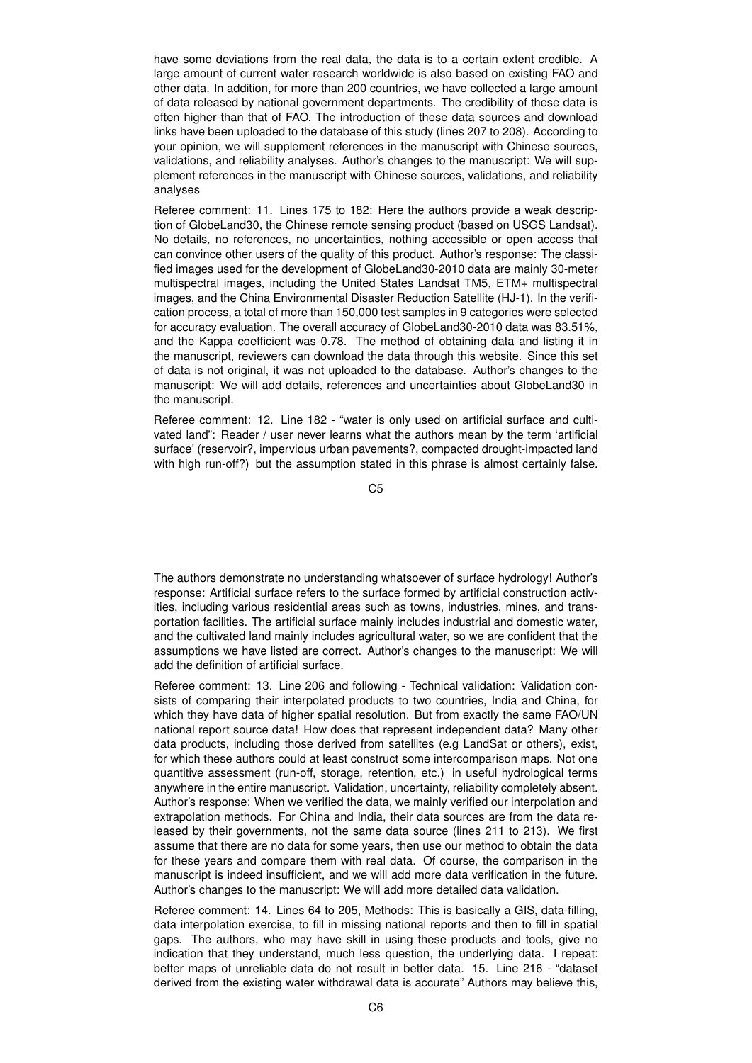have some deviations from the real data, the data is to a certain extent credible. A large amount of current water research worldwide is also based on existing FAO and other data. In addition, for more than 200 countries, we have collected a large amount of data released by national government departments. The credibility of these data is often higher than that of FAO. The introduction of these data sources and download links have been uploaded to the database of this study (lines 207 to 208). According to your opinion, we will supplement references in the manuscript with Chinese sources, validations, and reliability analyses. Author's changes to the manuscript: We will supplement references in the manuscript with Chinese sources, validations, and reliability analyses

Referee comment: 11. Lines 175 to 182: Here the authors provide a weak description of GlobeLand30, the Chinese remote sensing product (based on USGS Landsat). No details, no references, no uncertainties, nothing accessible or open access that can convince other users of the quality of this product. Author's response: The classified images used for the development of GlobeLand30-2010 data are mainly 30-meter multispectral images, including the United States Landsat TM5, ETM+ multispectral images, and the China Environmental Disaster Reduction Satellite (HJ-1). In the verification process, a total of more than 150,000 test samples in 9 categories were selected for accuracy evaluation. The overall accuracy of GlobeLand30-2010 data was 83.51%, and the Kappa coefficient was 0.78. The method of obtaining data and listing it in the manuscript, reviewers can download the data through this website. Since this set of data is not original, it was not uploaded to the database. Author's changes to the manuscript: We will add details, references and uncertainties about GlobeLand30 in the manuscript.

Referee comment: 12. Line 182 - "water is only used on artificial surface and cultivated land": Reader / user never learns what the authors mean by the term 'artificial surface' (reservoir?, impervious urban pavements?, compacted drought-impacted land with high run-off?) but the assumption stated in this phrase is almost certainly false.

C5

The authors demonstrate no understanding whatsoever of surface hydrology! Author's response: Artificial surface refers to the surface formed by artificial construction activities, including various residential areas such as towns, industries, mines, and transportation facilities. The artificial surface mainly includes industrial and domestic water, and the cultivated land mainly includes agricultural water, so we are confident that the assumptions we have listed are correct. Author's changes to the manuscript: We will add the definition of artificial surface.

Referee comment: 13. Line 206 and following - Technical validation: Validation consists of comparing their interpolated products to two countries, India and China, for which they have data of higher spatial resolution. But from exactly the same FAO/UN national report source data! How does that represent independent data? Many other data products, including those derived from satellites (e.g LandSat or others), exist, for which these authors could at least construct some intercomparison maps. Not one quantitive assessment (run-off, storage, retention, etc.) in useful hydrological terms anywhere in the entire manuscript. Validation, uncertainty, reliability completely absent. Author's response: When we verified the data, we mainly verified our interpolation and extrapolation methods. For China and India, their data sources are from the data released by their governments, not the same data source (lines 211 to 213). We first assume that there are no data for some years, then use our method to obtain the data for these years and compare them with real data. Of course, the comparison in the manuscript is indeed insufficient, and we will add more data verification in the future. Author's changes to the manuscript: We will add more detailed data validation.

Referee comment: 14. Lines 64 to 205, Methods: This is basically a GIS, data-filling, data interpolation exercise, to fill in missing national reports and then to fill in spatial gaps. The authors, who may have skill in using these products and tools, give no indication that they understand, much less question, the underlying data. I repeat: better maps of unreliable data do not result in better data. 15. Line 216 - "dataset derived from the existing water withdrawal data is accurate" Authors may believe this,